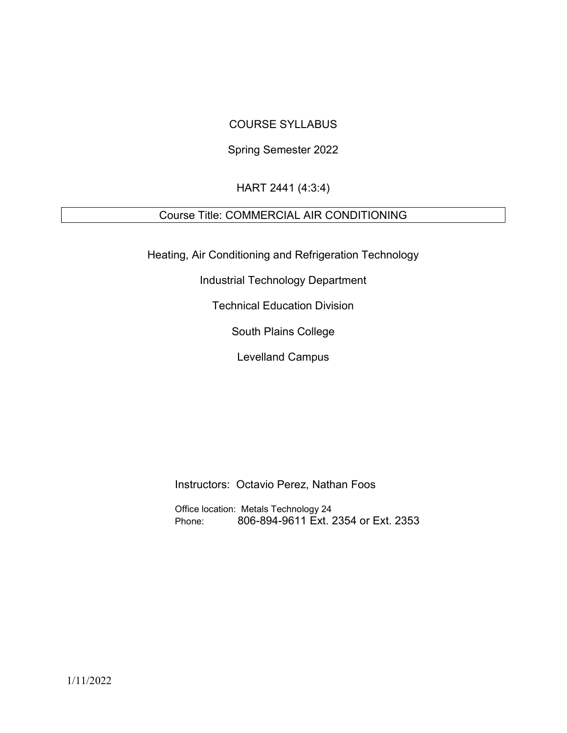### COURSE SYLLABUS

### Spring Semester 2022

### HART 2441 (4:3:4)

## Course Title: COMMERCIAL AIR CONDITIONING

Heating, Air Conditioning and Refrigeration Technology

Industrial Technology Department

Technical Education Division

South Plains College

Levelland Campus

Instructors: Octavio Perez, Nathan Foos

Office location: Metals Technology 24 Phone: 806-894-9611 Ext. 2354 or Ext. 2353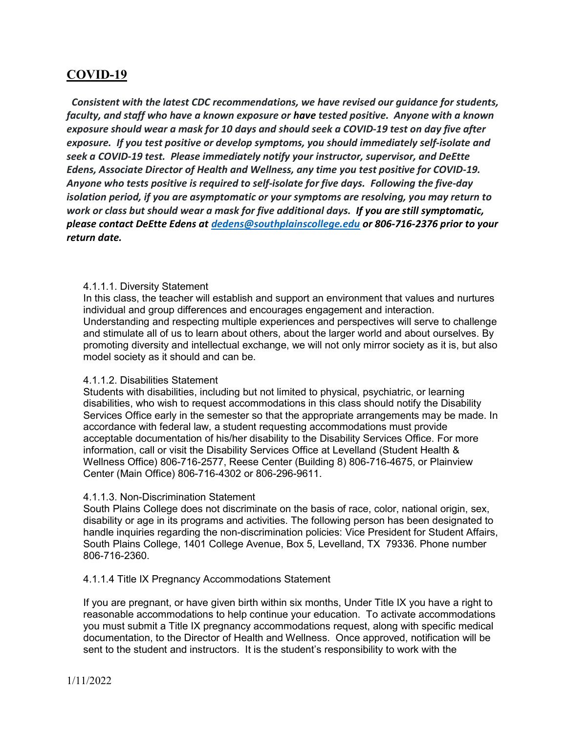## COVID-19

 Consistent with the latest CDC recommendations, we have revised our guidance for students, faculty, and staff who have a known exposure or have tested positive. Anyone with a known exposure should wear a mask for 10 days and should seek a COVID-19 test on day five after exposure. If you test positive or develop symptoms, you should immediately self-isolate and seek a COVID-19 test. Please immediately notify your instructor, supervisor, and DeEtte Edens, Associate Director of Health and Wellness, any time you test positive for COVID-19. Anyone who tests positive is required to self-isolate for five days. Following the five-day isolation period, if you are asymptomatic or your symptoms are resolving, you may return to work or class but should wear a mask for five additional days. If you are still symptomatic, please contact DeEtte Edens at dedens@southplainscollege.edu or 806-716-2376 prior to your return date.

#### 4.1.1.1. Diversity Statement

In this class, the teacher will establish and support an environment that values and nurtures individual and group differences and encourages engagement and interaction. Understanding and respecting multiple experiences and perspectives will serve to challenge and stimulate all of us to learn about others, about the larger world and about ourselves. By promoting diversity and intellectual exchange, we will not only mirror society as it is, but also model society as it should and can be.

#### 4.1.1.2. Disabilities Statement

Students with disabilities, including but not limited to physical, psychiatric, or learning disabilities, who wish to request accommodations in this class should notify the Disability Services Office early in the semester so that the appropriate arrangements may be made. In accordance with federal law, a student requesting accommodations must provide acceptable documentation of his/her disability to the Disability Services Office. For more information, call or visit the Disability Services Office at Levelland (Student Health & Wellness Office) 806-716-2577, Reese Center (Building 8) 806-716-4675, or Plainview Center (Main Office) 806-716-4302 or 806-296-9611.

### 4.1.1.3. Non-Discrimination Statement

South Plains College does not discriminate on the basis of race, color, national origin, sex, disability or age in its programs and activities. The following person has been designated to handle inquiries regarding the non-discrimination policies: Vice President for Student Affairs, South Plains College, 1401 College Avenue, Box 5, Levelland, TX 79336. Phone number 806-716-2360.

#### 4.1.1.4 Title IX Pregnancy Accommodations Statement

If you are pregnant, or have given birth within six months, Under Title IX you have a right to reasonable accommodations to help continue your education. To activate accommodations you must submit a Title IX pregnancy accommodations request, along with specific medical documentation, to the Director of Health and Wellness. Once approved, notification will be sent to the student and instructors. It is the student's responsibility to work with the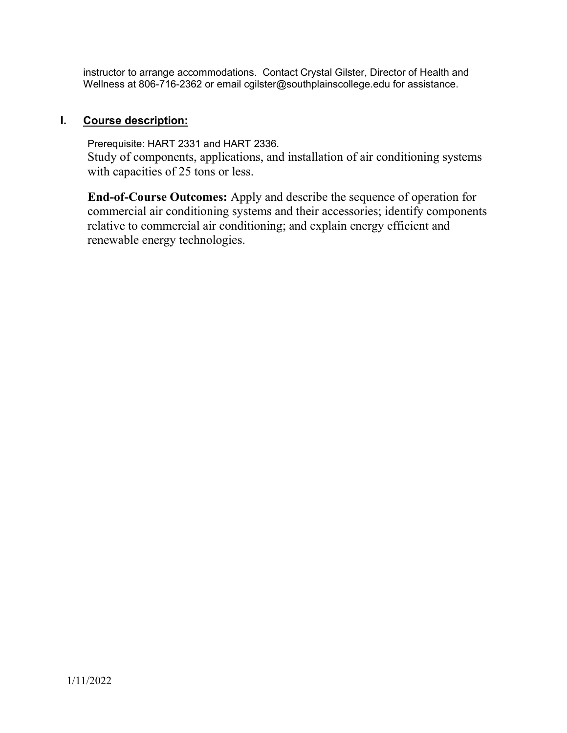instructor to arrange accommodations. Contact Crystal Gilster, Director of Health and Wellness at 806-716-2362 or email cgilster@southplainscollege.edu for assistance.

### I. Course description:

Prerequisite: HART 2331 and HART 2336. Study of components, applications, and installation of air conditioning systems with capacities of 25 tons or less.

End-of-Course Outcomes: Apply and describe the sequence of operation for commercial air conditioning systems and their accessories; identify components relative to commercial air conditioning; and explain energy efficient and renewable energy technologies.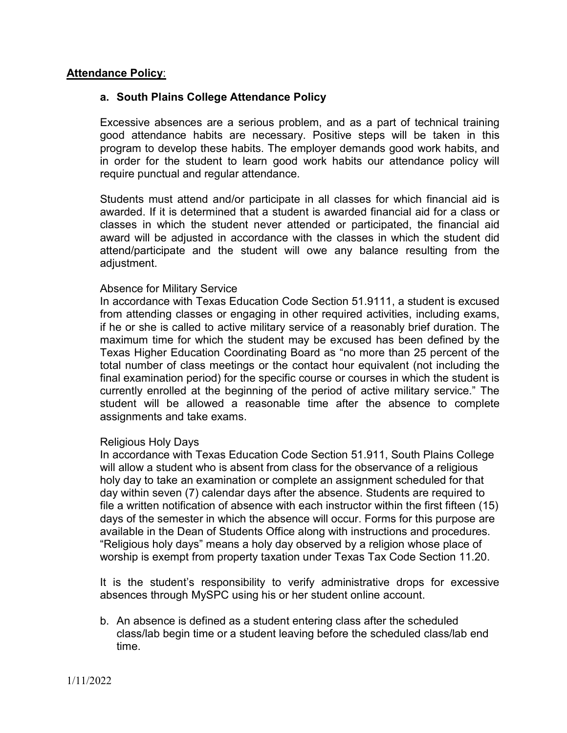### **Attendance Policy:**

### a. South Plains College Attendance Policy

Excessive absences are a serious problem, and as a part of technical training good attendance habits are necessary. Positive steps will be taken in this program to develop these habits. The employer demands good work habits, and in order for the student to learn good work habits our attendance policy will require punctual and regular attendance.

Students must attend and/or participate in all classes for which financial aid is awarded. If it is determined that a student is awarded financial aid for a class or classes in which the student never attended or participated, the financial aid award will be adjusted in accordance with the classes in which the student did attend/participate and the student will owe any balance resulting from the adjustment.

### Absence for Military Service

In accordance with Texas Education Code Section 51.9111, a student is excused from attending classes or engaging in other required activities, including exams, if he or she is called to active military service of a reasonably brief duration. The maximum time for which the student may be excused has been defined by the Texas Higher Education Coordinating Board as "no more than 25 percent of the total number of class meetings or the contact hour equivalent (not including the final examination period) for the specific course or courses in which the student is currently enrolled at the beginning of the period of active military service." The student will be allowed a reasonable time after the absence to complete assignments and take exams.

### Religious Holy Days

In accordance with Texas Education Code Section 51.911, South Plains College will allow a student who is absent from class for the observance of a religious holy day to take an examination or complete an assignment scheduled for that day within seven (7) calendar days after the absence. Students are required to file a written notification of absence with each instructor within the first fifteen (15) days of the semester in which the absence will occur. Forms for this purpose are available in the Dean of Students Office along with instructions and procedures. "Religious holy days" means a holy day observed by a religion whose place of worship is exempt from property taxation under Texas Tax Code Section 11.20.

It is the student's responsibility to verify administrative drops for excessive absences through MySPC using his or her student online account.

b. An absence is defined as a student entering class after the scheduled class/lab begin time or a student leaving before the scheduled class/lab end time.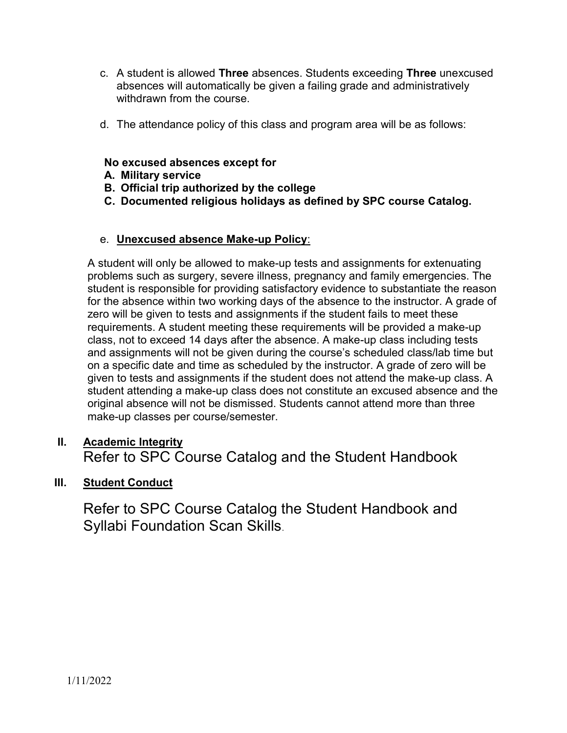- c. A student is allowed Three absences. Students exceeding Three unexcused absences will automatically be given a failing grade and administratively withdrawn from the course.
- d. The attendance policy of this class and program area will be as follows:

### No excused absences except for

- A. Military service
- B. Official trip authorized by the college
- C. Documented religious holidays as defined by SPC course Catalog.

## e. Unexcused absence Make-up Policy:

A student will only be allowed to make-up tests and assignments for extenuating problems such as surgery, severe illness, pregnancy and family emergencies. The student is responsible for providing satisfactory evidence to substantiate the reason for the absence within two working days of the absence to the instructor. A grade of zero will be given to tests and assignments if the student fails to meet these requirements. A student meeting these requirements will be provided a make-up class, not to exceed 14 days after the absence. A make-up class including tests and assignments will not be given during the course's scheduled class/lab time but on a specific date and time as scheduled by the instructor. A grade of zero will be given to tests and assignments if the student does not attend the make-up class. A student attending a make-up class does not constitute an excused absence and the original absence will not be dismissed. Students cannot attend more than three make-up classes per course/semester.

# II. Academic Integrity Refer to SPC Course Catalog and the Student Handbook

## **III.** Student Conduct

Refer to SPC Course Catalog the Student Handbook and Syllabi Foundation Scan Skills.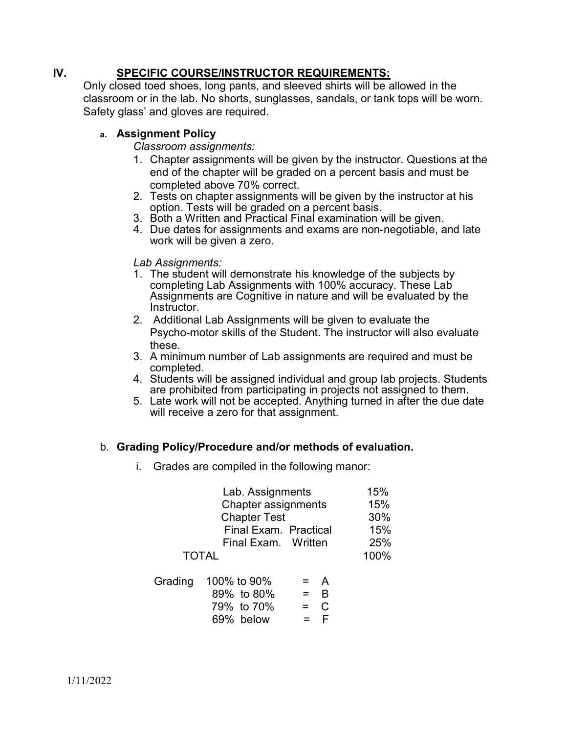## IV. SPECIFIC COURSE/INSTRUCTOR REQUIREMENTS:

Only closed toed shoes, long pants, and sleeved shirts will be allowed in the classroom or in the lab. No shorts, sunglasses, sandals, or tank tops will be worn. Safety glass' and gloves are required.

## a. Assignment Policy

Classroom assignments:

- 1. Chapter assignments will be given by the instructor. Questions at the end of the chapter will be graded on a percent basis and must be completed above 70% correct.
- 2. Tests on chapter assignments will be given by the instructor at his option. Tests will be graded on a percent basis.
- 3. Both a Written and Practical Final examination will be given.
- 4. Due dates for assignments and exams are non-negotiable, and late work will be given a zero.

Lab Assignments:

- 1. The student will demonstrate his knowledge of the subjects by completing Lab Assignments with 100% accuracy. These Lab Assignments are Cognitive in nature and will be evaluated by the Instructor.
- 2. Additional Lab Assignments will be given to evaluate the Psycho-motor skills of the Student. The instructor will also evaluate these.
- 3. A minimum number of Lab assignments are required and must be completed.
- 4. Students will be assigned individual and group lab projects. Students are prohibited from participating in projects not assigned to them.
- 5. Late work will not be accepted. Anything turned in after the due date will receive a zero for that assignment.

## b. Grading Policy/Procedure and/or methods of evaluation.

i. Grades are compiled in the following manor:

| Lab. Assignments      | 15%  |
|-----------------------|------|
| Chapter assignments   | 15%  |
| <b>Chapter Test</b>   | 30%  |
| Final Exam. Practical | 15%  |
| Final Exam. Written   | 25%  |
| <b>TOTAL</b>          | 100% |
|                       |      |

| Grading 100% to 90% | $=$ A              |                  |
|---------------------|--------------------|------------------|
| 89% to 80%          | $=$ $\overline{B}$ |                  |
| 79% to 70%          | $=$ C              |                  |
| 69% below           |                    | $=$ $\mathsf{F}$ |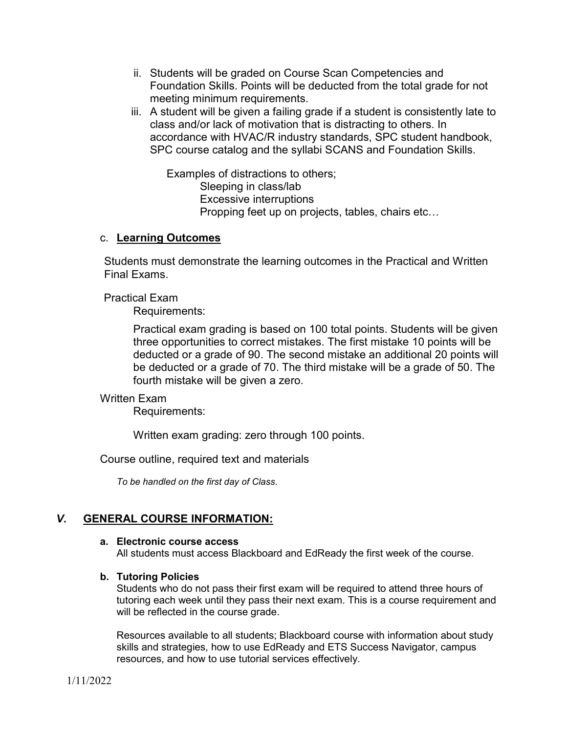- ii. Students will be graded on Course Scan Competencies and Foundation Skills. Points will be deducted from the total grade for not meeting minimum requirements.
- iii. A student will be given a failing grade if a student is consistently late to class and/or lack of motivation that is distracting to others. In accordance with HVAC/R industry standards, SPC student handbook, SPC course catalog and the syllabi SCANS and Foundation Skills.

 Examples of distractions to others; Sleeping in class/lab Excessive interruptions Propping feet up on projects, tables, chairs etc…

### c. Learning Outcomes

Students must demonstrate the learning outcomes in the Practical and Written Final Exams.

Practical Exam

Requirements:

Practical exam grading is based on 100 total points. Students will be given three opportunities to correct mistakes. The first mistake 10 points will be deducted or a grade of 90. The second mistake an additional 20 points will be deducted or a grade of 70. The third mistake will be a grade of 50. The fourth mistake will be given a zero.

### Written Exam

Requirements:

Written exam grading: zero through 100 points.

Course outline, required text and materials

To be handled on the first day of Class.

### V. GENERAL COURSE INFORMATION:

#### a. Electronic course access

All students must access Blackboard and EdReady the first week of the course.

### b. Tutoring Policies

Students who do not pass their first exam will be required to attend three hours of tutoring each week until they pass their next exam. This is a course requirement and will be reflected in the course grade.

Resources available to all students; Blackboard course with information about study skills and strategies, how to use EdReady and ETS Success Navigator, campus resources, and how to use tutorial services effectively.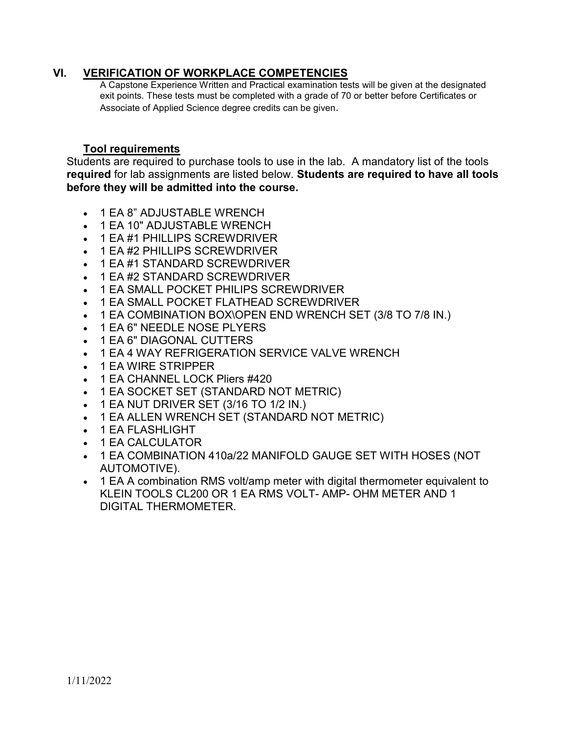### VI. VERIFICATION OF WORKPLACE COMPETENCIES

A Capstone Experience Written and Practical examination tests will be given at the designated exit points. These tests must be completed with a grade of 70 or better before Certificates or Associate of Applied Science degree credits can be given.

### Tool requirements

Students are required to purchase tools to use in the lab. A mandatory list of the tools required for lab assignments are listed below. Students are required to have all tools before they will be admitted into the course.

- 1 EA 8" ADJUSTABLE WRENCH
- 1 EA 10" ADJUSTABLE WRENCH
- 1 EA #1 PHILLIPS SCREWDRIVER
- 1 EA #2 PHILLIPS SCREWDRIVER
- 1 EA #1 STANDARD SCREWDRIVER
- 1 EA #2 STANDARD SCREWDRIVER
- 1 EA SMALL POCKET PHILIPS SCREWDRIVER
- 1 EA SMALL POCKET FLATHEAD SCREWDRIVER
- 1 EA COMBINATION BOX\OPEN END WRENCH SET (3/8 TO 7/8 IN.)
- 1 EA 6" NEEDLE NOSE PLYERS
- 1 EA 6" DIAGONAL CUTTERS
- 1 EA 4 WAY REFRIGERATION SERVICE VALVE WRENCH
- 1 EA WIRE STRIPPER
- 1 EA CHANNEL LOCK Pliers #420
- 1 EA SOCKET SET (STANDARD NOT METRIC)
- $\bullet$  1 EA NUT DRIVER SET (3/16 TO 1/2 IN.)
- 1 EA ALLEN WRENCH SET (STANDARD NOT METRIC)
- 1 EA FLASHLIGHT
- 1 EA CALCULATOR
- 1 EA COMBINATION 410a/22 MANIFOLD GAUGE SET WITH HOSES (NOT AUTOMOTIVE).
- 1 EA A combination RMS volt/amp meter with digital thermometer equivalent to KLEIN TOOLS CL200 OR 1 EA RMS VOLT- AMP- OHM METER AND 1 DIGITAL THERMOMETER.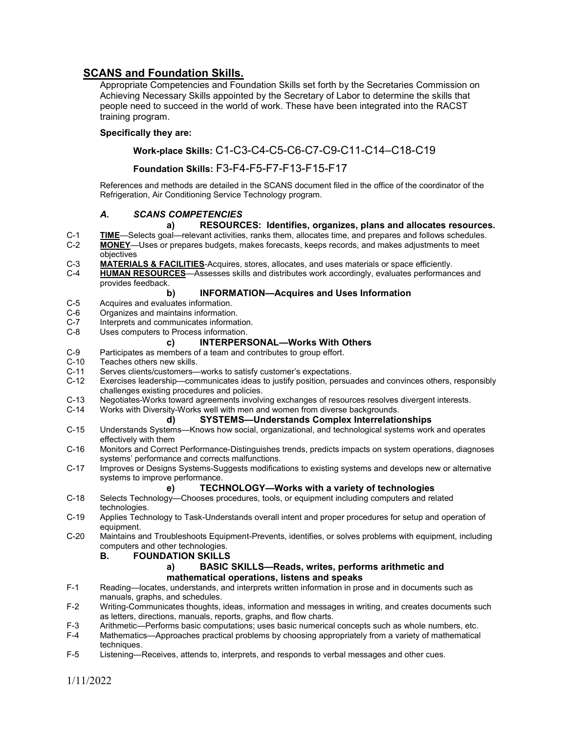### SCANS and Foundation Skills.

Appropriate Competencies and Foundation Skills set forth by the Secretaries Commission on Achieving Necessary Skills appointed by the Secretary of Labor to determine the skills that people need to succeed in the world of work. These have been integrated into the RACST training program.

#### Specifically they are:

#### Work-place Skills: C1-C3-C4-C5-C6-C7-C9-C11-C14–C18-C19

#### Foundation Skills: F3-F4-F5-F7-F13-F15-F17

References and methods are detailed in the SCANS document filed in the office of the coordinator of the Refrigeration, Air Conditioning Service Technology program.

#### A. SCANS COMPETENCIES

#### a) RESOURCES: Identifies, organizes, plans and allocates resources.

- C-1 TIME—Selects goal—relevant activities, ranks them, allocates time, and prepares and follows schedules.<br>C-2 MONEY—Uses or prepares budgets, makes forecasts, keeps records, and makes adiustments to meet MONEY—Uses or prepares budgets, makes forecasts, keeps records, and makes adjustments to meet objectives
- C-3 MATERIALS & FACILITIES-Acquires, stores, allocates, and uses materials or space efficiently.
- C-4 HUMAN RESOURCES—Assesses skills and distributes work accordingly, evaluates performances and provides feedback.

#### b) INFORMATION—Acquires and Uses Information

- C-5 Acquires and evaluates information.<br>C-6 Organizes and maintains information
- C-6 Organizes and maintains information.<br>C-7 Interprets and communicates informat
- C-7 Interprets and communicates information.<br>C-8 Uses computers to Process information.
- Uses computers to Process information.

#### c) INTERPERSONAL—Works With Others

- C-9 Participates as members of a team and contributes to group effort.<br>C-10 Teaches others new skills.
- C-10 Teaches others new skills.<br>C-11 Serves clients/customers-
- C-11 Serves clients/customers—works to satisfy customer's expectations.<br>C-12 Exercises leadership—communicates ideas to iustify position, persual
- Exercises leadership—communicates ideas to justify position, persuades and convinces others, responsibly challenges existing procedures and policies.
- C-13 Negotiates-Works toward agreements involving exchanges of resources resolves divergent interests.
- C-14 Works with Diversity-Works well with men and women from diverse backgrounds.

#### d) SYSTEMS—Understands Complex Interrelationships

- C-15 Understands Systems—Knows how social, organizational, and technological systems work and operates effectively with them
- C-16 Monitors and Correct Performance-Distinguishes trends, predicts impacts on system operations, diagnoses systems' performance and corrects malfunctions.
- C-17 Improves or Designs Systems-Suggests modifications to existing systems and develops new or alternative systems to improve performance.

#### e) TECHNOLOGY—Works with a variety of technologies

- C-18 Selects Technology—Chooses procedures, tools, or equipment including computers and related technologies.
- C-19 Applies Technology to Task-Understands overall intent and proper procedures for setup and operation of equipment.
- C-20 Maintains and Troubleshoots Equipment-Prevents, identifies, or solves problems with equipment, including computers and other technologies.

#### B. FOUNDATION SKILLS

#### a) BASIC SKILLS—Reads, writes, performs arithmetic and mathematical operations, listens and speaks

- F-1 Reading—locates, understands, and interprets written information in prose and in documents such as manuals, graphs, and schedules.
- F-2 Writing-Communicates thoughts, ideas, information and messages in writing, and creates documents such as letters, directions, manuals, reports, graphs, and flow charts.
- F-3 Arithmetic—Performs basic computations; uses basic numerical concepts such as whole numbers, etc.<br>F-4 Mathematics—Approaches practical problems by choosing appropriately from a variety of mathematical
- Mathematics—Approaches practical problems by choosing appropriately from a variety of mathematical techniques.
- F-5 Listening—Receives, attends to, interprets, and responds to verbal messages and other cues.

1/11/2022